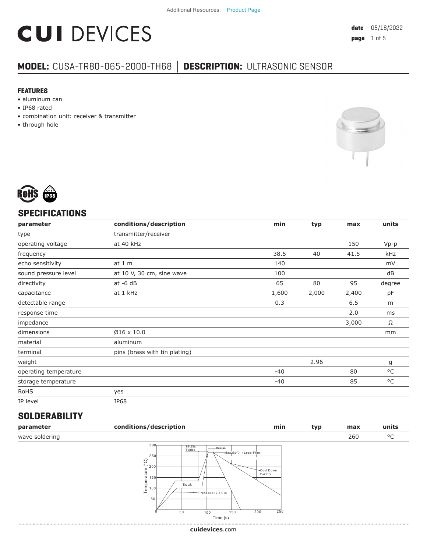# **CUI DEVICES**

### **MODEL:** CUSA-TR80-065-2000-TH68 **│ DESCRIPTION:** ULTRASONIC SENSOR

#### **FEATURES**

- aluminum can
- IP68 rated
- combination unit: receiver & transmitter
- through hole





#### **SPECIFICATIONS**

| parameter             | conditions/description        | min   | typ   | max   | units  |
|-----------------------|-------------------------------|-------|-------|-------|--------|
| type                  | transmitter/receiver          |       |       |       |        |
| operating voltage     | at 40 kHz                     |       |       | 150   | $Vp-p$ |
| frequency             |                               | 38.5  | 40    | 41.5  | kHz    |
| echo sensitivity      | at $1m$                       | 140   |       |       | mV     |
| sound pressure level  | at 10 V, 30 cm, sine wave     | 100   |       |       | dB     |
| directivity           | $at -6 dB$                    | 65    | 80    | 95    | degree |
| capacitance           | at 1 kHz                      | 1,600 | 2,000 | 2,400 | pF     |
| detectable range      |                               | 0.3   |       | 6.5   | m      |
| response time         |                               |       |       | 2.0   | ms     |
| impedance             |                               |       |       | 3,000 | Ω      |
| dimensions            | $Ø16 \times 10.0$             |       |       |       | mm     |
| material              | aluminum                      |       |       |       |        |
| terminal              | pins (brass with tin plating) |       |       |       |        |
| weight                |                               |       | 2.96  |       | g      |
| operating temperature |                               | $-40$ |       | 80    | °C     |
| storage temperature   |                               | $-40$ |       | 85    | °C     |
| <b>RoHS</b>           | yes                           |       |       |       |        |
| IP level              | IP68                          |       |       |       |        |
|                       |                               |       |       |       |        |

#### **SOLDERABILITY**

| parameter      | conditions/description                                                                                                                                                         | min                                              | typ | max | units |
|----------------|--------------------------------------------------------------------------------------------------------------------------------------------------------------------------------|--------------------------------------------------|-----|-----|-------|
| wave soldering |                                                                                                                                                                                |                                                  |     | 260 | °C    |
|                | 300 <sub>1</sub><br>15-25s<br>Typical<br>Max10s<br>250<br>$\widehat{\wp}$<br>$~^{\circ}\,$ 200<br>Temperature<br>$150 +$<br>Soak<br>00 <sup>1</sup><br>Preheat at 2-3℃/s<br>50 | -Max260℃ (Lead-Free)<br>Cool Down<br>$2-4$ °C /s |     |     |       |

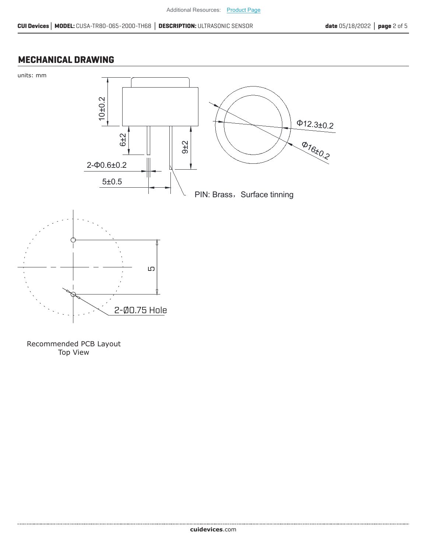#### **MECHANICAL DRAWING**



Recommended PCB Layout Top View

.....................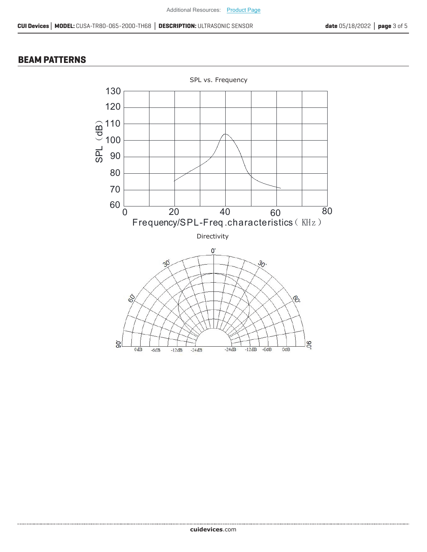#### **BEAM PATTERNS**

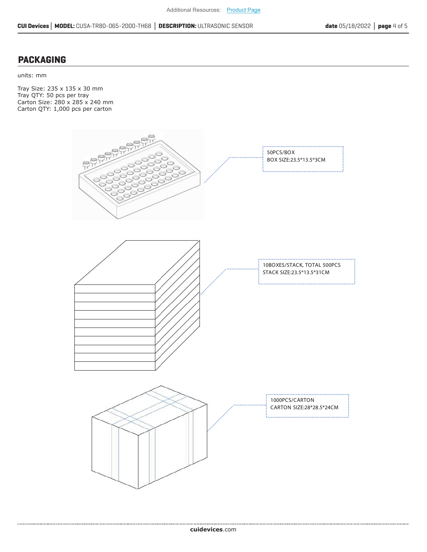#### **PACKAGING**

units: mm

Tray Size: 235 x 135 x 30 mm Tray QTY: 50 pcs per tray Carton Size: 280 x 285 x 240 mm Carton QTY: 1,000 pcs per carton